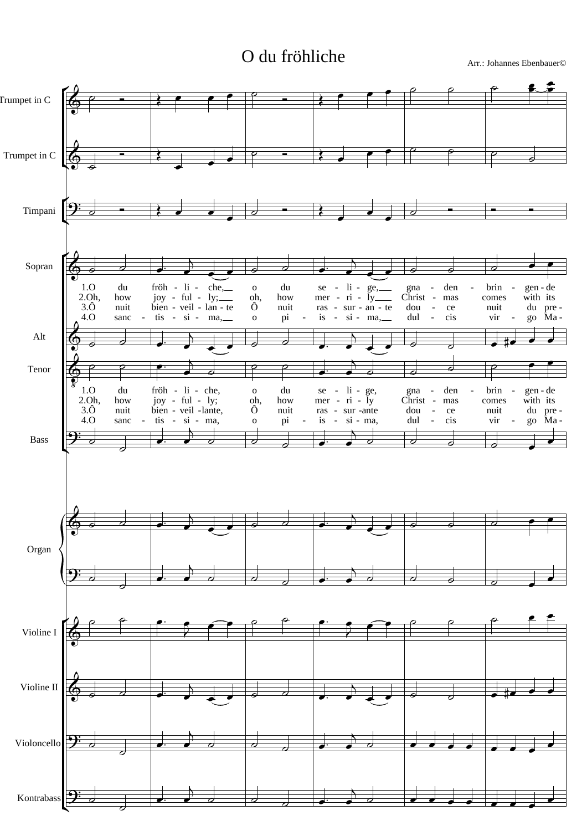## O du fröhliche Arr.: Johannes Ebenbauer©

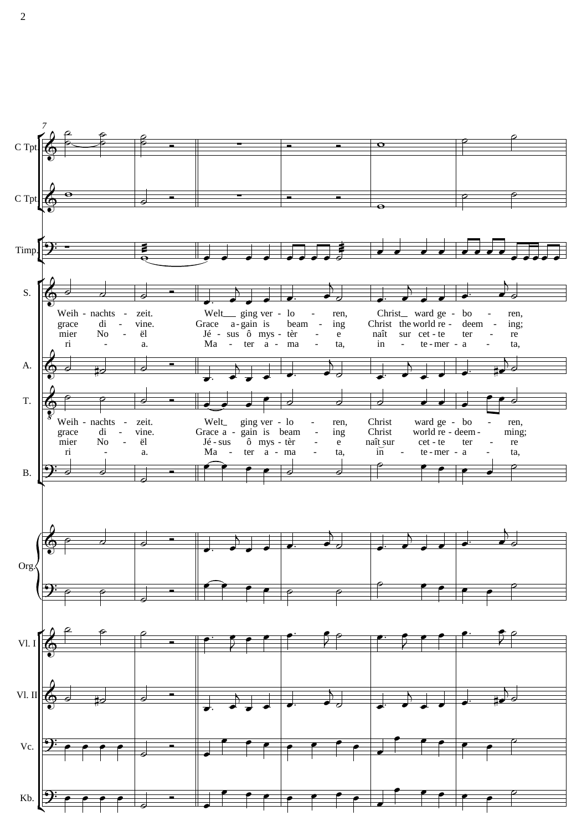